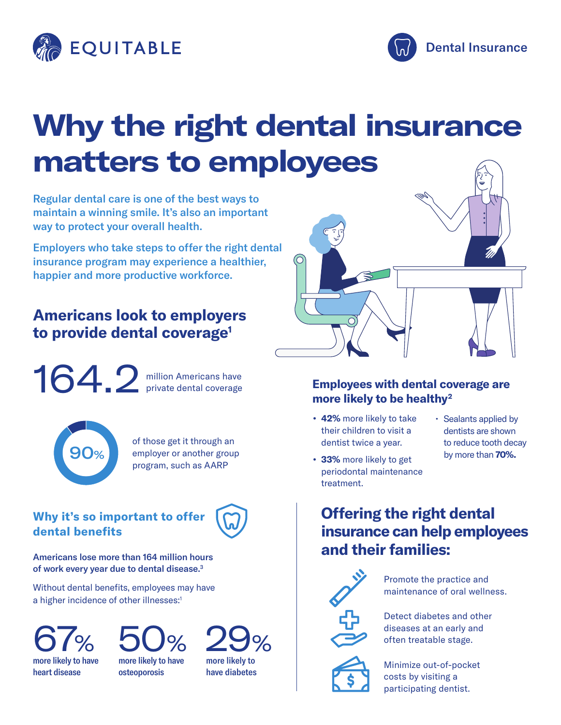



## **Why the right dental insurance matters to employees**

Regular dental care is one of the best ways to maintain a winning smile. It's also an important way to protect your overall health.

Employers who take steps to offer the right dental insurance program may experience a healthier, happier and more productive workforce.

### **Americans look to employers to provide dental coverage1**

164.2

million Americans have private dental coverage



of those get it through an employer or another group program, such as AARP

#### **Why it's so important to offer dental benefits**



Americans lose more than 164 million hours of work every year due to dental disease.<sup>3</sup>

Without dental benefits, employees may have a higher incidence of other illnesses:<sup>1</sup>



more likely to have heart disease



more likely to have osteoporosis





#### **Employees with dental coverage are more likely to be healthy2**

- **• 42%** more likely to take their children to visit a dentist twice a year.
- Sealants applied by dentists are shown to reduce tooth decay by more than **70%.**

#### **• 33%** more likely to get periodontal maintenance treatment.

**Offering the right dental insurance can help employees and their families:**



Promote the practice and maintenance of oral wellness.

Detect diabetes and other diseases at an early and often treatable stage.



Minimize out-of-pocket costs by visiting a participating dentist.